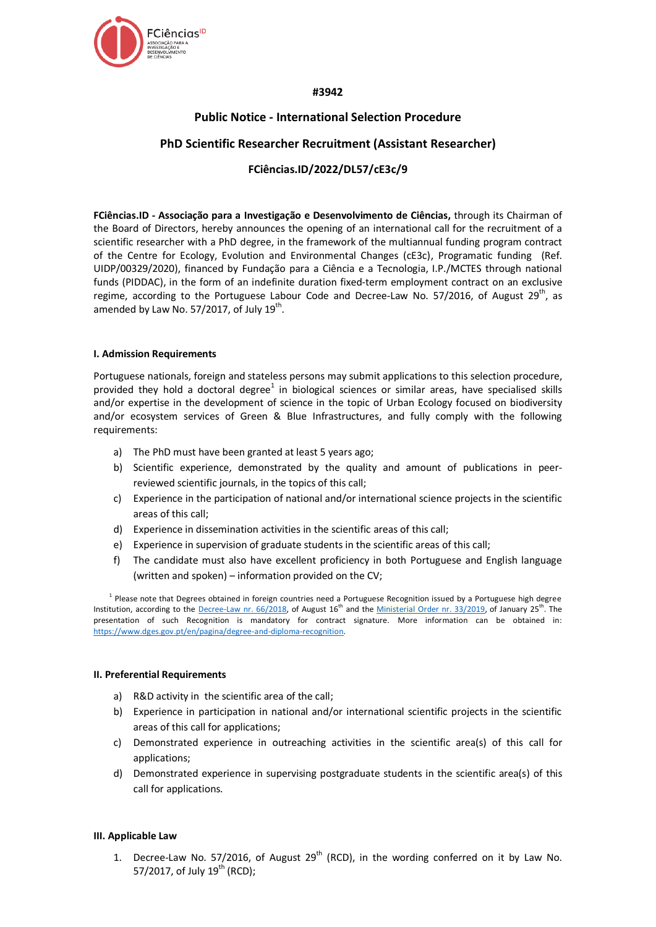

# **#3942**

# **Public Notice - International Selection Procedure**

# **PhD Scientific Researcher Recruitment (Assistant Researcher)**

# **FCiências.ID/2022/DL57/cE3c/9**

**FCiências.ID - Associação para a Investigação e Desenvolvimento de Ciências,** through its Chairman of the Board of Directors, hereby announces the opening of an international call for the recruitment of a scientific researcher with a PhD degree, in the framework of the multiannual funding program contract of the Centre for Ecology, Evolution and Environmental Changes (cE3c), Programatic funding (Ref. UIDP/00329/2020), financed by Fundação para a Ciência e a Tecnologia, I.P./MCTES through national funds (PIDDAC), in the form of an indefinite duration fixed-term employment contract on an exclusive regime, according to the Portuguese Labour Code and Decree-Law No. 57/2016, of August 29<sup>th</sup>, as amended by Law No. 57/2017, of July  $19^{\text{th}}$ .

# **I. Admission Requirements**

Portuguese nationals, foreign and stateless persons may submit applications to this selection procedure, provided they hold a doctoral degree $^1$  in biological sciences or similar areas, have specialised skills and/or expertise in the development of science in the topic of Urban Ecology focused on biodiversity and/or ecosystem services of Green & Blue Infrastructures, and fully comply with the following requirements:

- a) The PhD must have been granted at least 5 years ago;
- b) Scientific experience, demonstrated by the quality and amount of publications in peerreviewed scientific journals, in the topics of this call;
- c) Experience in the participation of national and/or international science projects in the scientific areas of this call;
- d) Experience in dissemination activities in the scientific areas of this call;
- e) Experience in supervision of graduate students in the scientific areas of this call;
- f) The candidate must also have excellent proficiency in both Portuguese and English language (written and spoken) – information provided on the CV;

<sup>1</sup> Please note that Degrees obtained in foreign countries need a Portuguese Recognition issued by a Portuguese high degree Institution, according to the [Decree-Law nr. 66/2018,](https://dre.pt/web/guest/pesquisa/-/search/116068880/details/maximized?res=en) of August 16<sup>th</sup> and the [Ministerial Order nr. 33/2019,](https://dre.pt/web/guest/pesquisa/-/search/118484592/details/normal?q=portaria+33%2F2019) of January 25<sup>th</sup>. The presentation of such Recognition is mandatory for contract signature. More information can be obtained in: [https://www.dges.gov.pt/en/pagina/degree-and-diploma-recognition.](https://www.dges.gov.pt/en/pagina/degree-and-diploma-recognition)

# **II. Preferential Requirements**

- a) R&D activity in the scientific area of the call;
- b) Experience in participation in national and/or international scientific projects in the scientific areas of this call for applications;
- c) Demonstrated experience in outreaching activities in the scientific area(s) of this call for applications;
- d) Demonstrated experience in supervising postgraduate students in the scientific area(s) of this call for applications.

# **III. Applicable Law**

1. Decree-Law No. 57/2016, of August  $29<sup>th</sup>$  (RCD), in the wording conferred on it by Law No. 57/2017, of July  $19^{th}$  (RCD);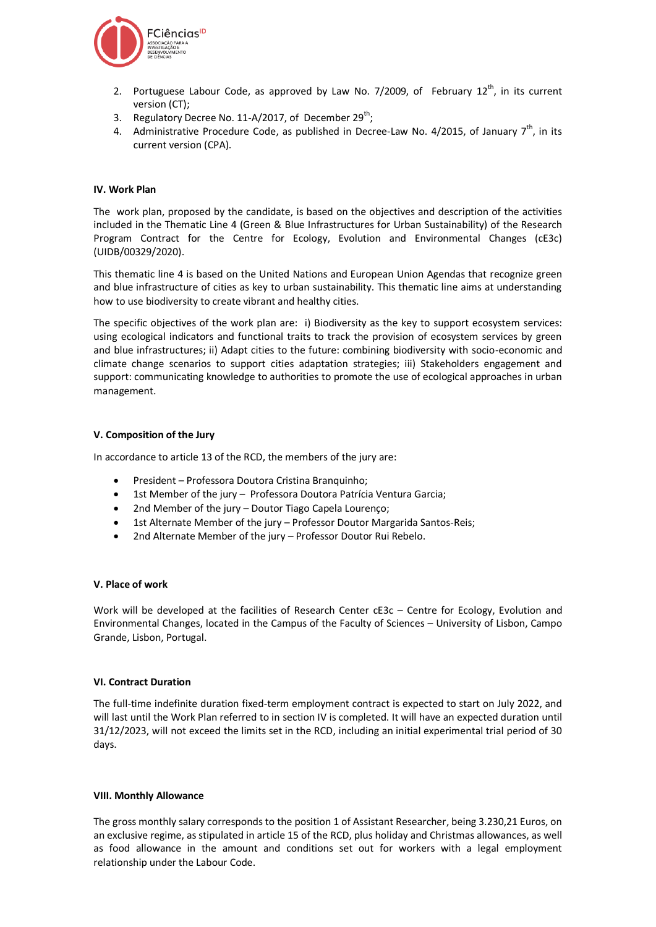

- 2. Portuguese Labour Code, as approved by Law No. 7/2009, of February  $12^{th}$ , in its current version (CT);
- 3. Regulatory Decree No. 11-A/2017, of December 29<sup>th</sup>;
- 4. Administrative Procedure Code, as published in Decree-Law No. 4/2015, of January  $7^{th}$ , in its current version (CPA).

# **IV. Work Plan**

The work plan, proposed by the candidate, is based on the objectives and description of the activities included in the Thematic Line 4 (Green & Blue Infrastructures for Urban Sustainability) of the Research Program Contract for the Centre for Ecology, Evolution and Environmental Changes (cE3c) (UIDB/00329/2020).

This thematic line 4 is based on the United Nations and European Union Agendas that recognize green and blue infrastructure of cities as key to urban sustainability. This thematic line aims at understanding how to use biodiversity to create vibrant and healthy cities.

The specific objectives of the work plan are: i) Biodiversity as the key to support ecosystem services: using ecological indicators and functional traits to track the provision of ecosystem services by green and blue infrastructures; ii) Adapt cities to the future: combining biodiversity with socio-economic and climate change scenarios to support cities adaptation strategies; iii) Stakeholders engagement and support: communicating knowledge to authorities to promote the use of ecological approaches in urban management.

#### **V. Composition of the Jury**

In accordance to article 13 of the RCD, the members of the jury are:

- President Professora Doutora Cristina Branquinho;
- 1st Member of the jury Professora Doutora Patrícia Ventura Garcia;
- 2nd Member of the jury Doutor Tiago Capela Lourenço;
- 1st Alternate Member of the jury Professor Doutor Margarida Santos-Reis;
- 2nd Alternate Member of the jury Professor Doutor Rui Rebelo.

# **V. Place of work**

Work will be developed at the facilities of Research Center cE3c – Centre for Ecology, Evolution and Environmental Changes, located in the Campus of the Faculty of Sciences – University of Lisbon, Campo Grande, Lisbon, Portugal.

# **VI. Contract Duration**

The full-time indefinite duration fixed-term employment contract is expected to start on July 2022, and will last until the Work Plan referred to in section IV is completed. It will have an expected duration until 31/12/2023, will not exceed the limits set in the RCD, including an initial experimental trial period of 30 days.

#### **VIII. Monthly Allowance**

The gross monthly salary corresponds to the position 1 of Assistant Researcher, being 3.230,21 Euros, on an exclusive regime, as stipulated in article 15 of the RCD, plus holiday and Christmas allowances, as well as food allowance in the amount and conditions set out for workers with a legal employment relationship under the Labour Code.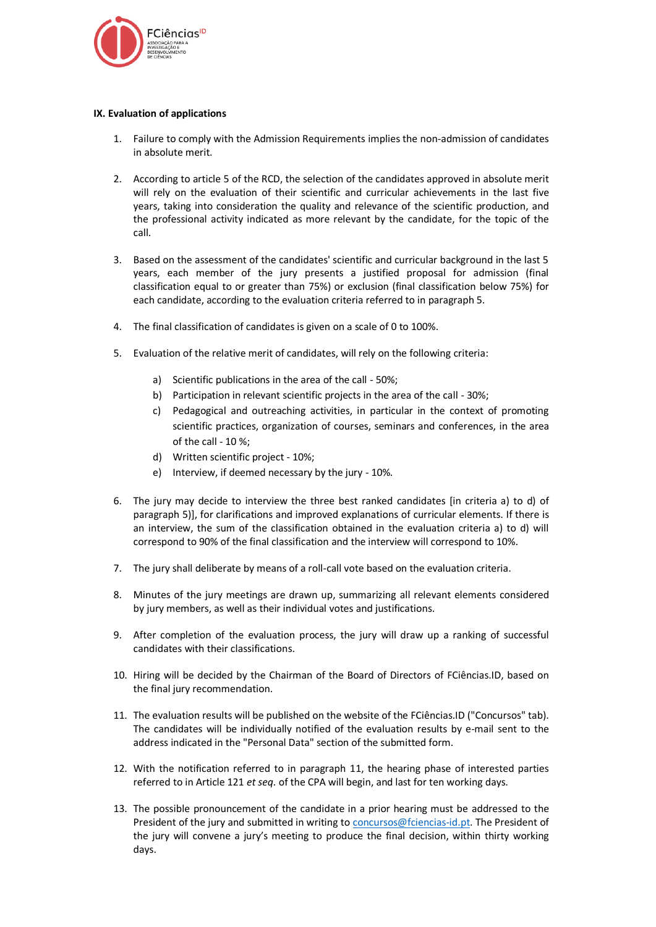

# **IX. Evaluation of applications**

- 1. Failure to comply with the Admission Requirements implies the non-admission of candidates in absolute merit.
- 2. According to article 5 of the RCD, the selection of the candidates approved in absolute merit will rely on the evaluation of their scientific and curricular achievements in the last five years, taking into consideration the quality and relevance of the scientific production, and the professional activity indicated as more relevant by the candidate, for the topic of the call.
- 3. Based on the assessment of the candidates' scientific and curricular background in the last 5 years, each member of the jury presents a justified proposal for admission (final classification equal to or greater than 75%) or exclusion (final classification below 75%) for each candidate, according to the evaluation criteria referred to in paragraph 5.
- 4. The final classification of candidates is given on a scale of 0 to 100%.
- 5. Evaluation of the relative merit of candidates, will rely on the following criteria:
	- a) Scientific publications in the area of the call 50%;
	- b) Participation in relevant scientific projects in the area of the call 30%;
	- c) Pedagogical and outreaching activities, in particular in the context of promoting scientific practices, organization of courses, seminars and conferences, in the area of the call - 10 %;
	- d) Written scientific project 10%;
	- e) Interview, if deemed necessary by the jury 10%.
- 6. The jury may decide to interview the three best ranked candidates [in criteria a) to d) of paragraph 5)], for clarifications and improved explanations of curricular elements. If there is an interview, the sum of the classification obtained in the evaluation criteria a) to d) will correspond to 90% of the final classification and the interview will correspond to 10%.
- 7. The jury shall deliberate by means of a roll-call vote based on the evaluation criteria.
- 8. Minutes of the jury meetings are drawn up, summarizing all relevant elements considered by jury members, as well as their individual votes and justifications.
- 9. After completion of the evaluation process, the jury will draw up a ranking of successful candidates with their classifications.
- 10. Hiring will be decided by the Chairman of the Board of Directors of FCiências.ID, based on the final jury recommendation.
- 11. The evaluation results will be published on the website of the FCiências.ID ("Concursos" tab). The candidates will be individually notified of the evaluation results by e-mail sent to the address indicated in the "Personal Data" section of the submitted form.
- 12. With the notification referred to in paragraph 11, the hearing phase of interested parties referred to in Article 121 *et seq.* of the CPA will begin, and last for ten working days.
- 13. The possible pronouncement of the candidate in a prior hearing must be addressed to the President of the jury and submitted in writing to [concursos@fciencias-id.pt.](mailto:concursos@fciencias-id.pt) The President of the jury will convene a jury's meeting to produce the final decision, within thirty working days.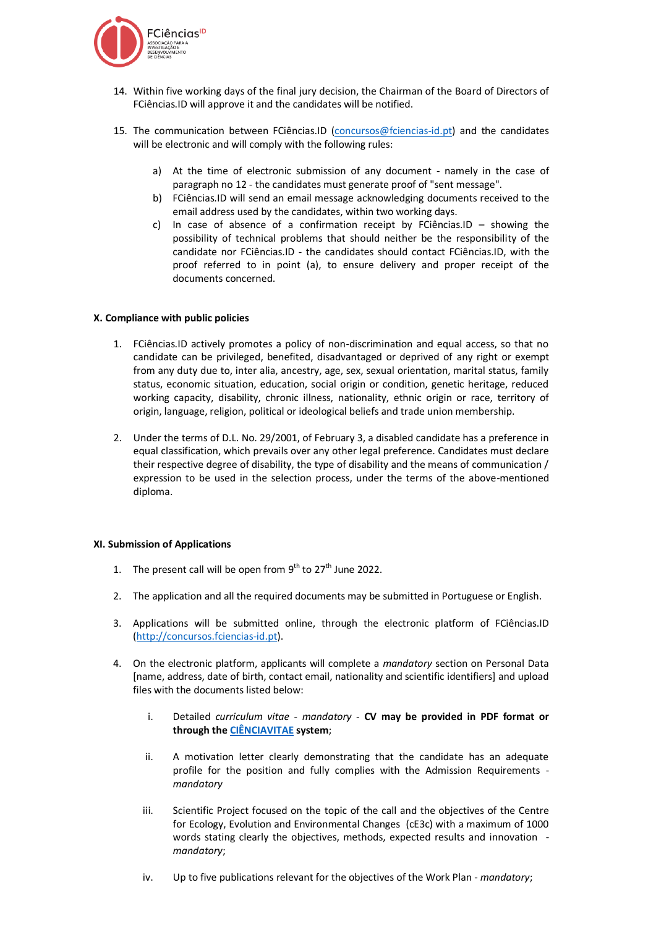

- 14. Within five working days of the final jury decision, the Chairman of the Board of Directors of FCiências.ID will approve it and the candidates will be notified.
- 15. The communication between FCiências.ID [\(concursos@fciencias-id.pt\)](mailto:concursos@fciencias-id.pt) and the candidates will be electronic and will comply with the following rules:
	- a) At the time of electronic submission of any document namely in the case of paragraph no 12 - the candidates must generate proof of "sent message".
	- b) FCiências.ID will send an email message acknowledging documents received to the email address used by the candidates, within two working days.
	- c) In case of absence of a confirmation receipt by FCiências.ID showing the possibility of technical problems that should neither be the responsibility of the candidate nor FCiências.ID - the candidates should contact FCiências.ID, with the proof referred to in point (a), to ensure delivery and proper receipt of the documents concerned.

# **X. Compliance with public policies**

- 1. FCiências.ID actively promotes a policy of non-discrimination and equal access, so that no candidate can be privileged, benefited, disadvantaged or deprived of any right or exempt from any duty due to, inter alia, ancestry, age, sex, sexual orientation, marital status, family status, economic situation, education, social origin or condition, genetic heritage, reduced working capacity, disability, chronic illness, nationality, ethnic origin or race, territory of origin, language, religion, political or ideological beliefs and trade union membership.
- 2. Under the terms of D.L. No. 29/2001, of February 3, a disabled candidate has a preference in equal classification, which prevails over any other legal preference. Candidates must declare their respective degree of disability, the type of disability and the means of communication / expression to be used in the selection process, under the terms of the above-mentioned diploma.

# **XI. Submission of Applications**

- 1. The present call will be open from  $9^{th}$  to 27 $^{th}$  June 2022.
- 2. The application and all the required documents may be submitted in Portuguese or English.
- 3. Applications will be submitted online, through the electronic platform of FCiências.ID [\(http://concursos.fciencias-id.pt\)](http://concursos.fciencias-id.pt/).
- 4. On the electronic platform, applicants will complete a *mandatory* section on Personal Data [name, address, date of birth, contact email, nationality and scientific identifiers] and upload files with the documents listed below:
	- i. Detailed *curriculum vitae mandatory -* **CV may be provided in PDF format or through th[e CIÊNCIAVITAE](https://cienciavitae.pt/) system**;
	- ii. A motivation letter clearly demonstrating that the candidate has an adequate profile for the position and fully complies with the Admission Requirements *mandatory*
	- iii. Scientific Project focused on the topic of the call and the objectives of the Centre for Ecology, Evolution and Environmental Changes (cE3c) with a maximum of 1000 words stating clearly the objectives, methods, expected results and innovation *mandatory*;
	- iv. Up to five publications relevant for the objectives of the Work Plan *mandatory*;